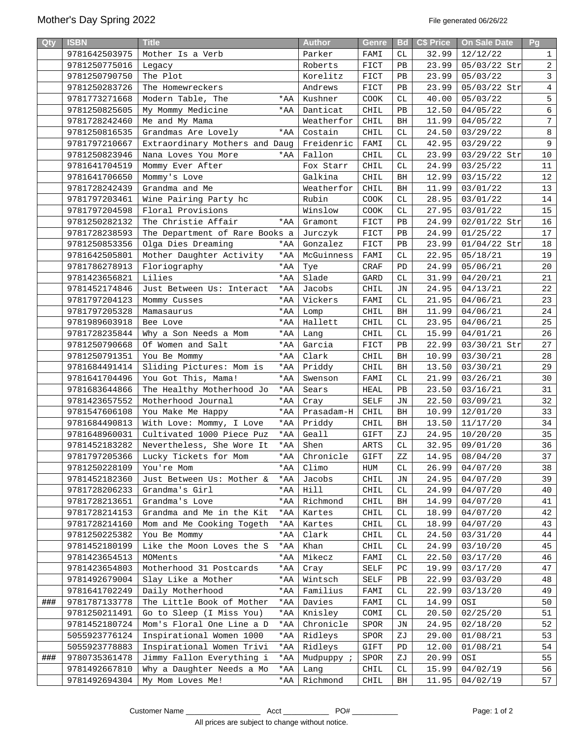| Qty | <b>ISBN</b>   | <b>Title</b>                                      |            | <b>Author</b>     | <b>Genre</b> | <b>Bd</b>              | <b>C\$ Price</b> | On Sale Date          | Pg             |
|-----|---------------|---------------------------------------------------|------------|-------------------|--------------|------------------------|------------------|-----------------------|----------------|
|     | 9781642503975 | Mother Is a Verb                                  |            | Parker            | FAMI         | CL                     | 32.99            | 12/12/22              | $\mathbf{1}$   |
|     | 9781250775016 | Legacy                                            |            | Roberts           | FICT         | PB                     | 23.99            | 05/03/22 Str          | $\overline{a}$ |
|     | 9781250790750 | The Plot                                          |            | Korelitz          | FICT         | PB                     | 23.99            | 05/03/22              | $\mathbf{3}$   |
|     | 9781250283726 | The Homewreckers                                  |            | Andrews           | FICT         | PB                     | 23.99            | 05/03/22 Str          | $\overline{4}$ |
|     | 9781773271668 | Modern Table, The                                 | $*AA$      | Kushner           | COOK         | СL                     | 40.00            | 05/03/22              | 5              |
|     | 9781250825605 | My Mommy Medicine                                 | *AA        | Danticat          | CHIL         | PB                     | 12.50            | 04/05/22              | $\epsilon$     |
|     | 9781728242460 | Me and My Mama                                    |            | Weatherfor        | CHIL         | BH                     | 11.99            | 04/05/22              | $7\phantom{.}$ |
|     | 9781250816535 | Grandmas Are Lovely                               | *AA        | Costain           | CHIL         | СL                     | 24.50            | 03/29/22              | $\,8\,$        |
|     | 9781797210667 | Extraordinary Mothers and Daug                    |            | Freidenric        | FAMI         | СL                     | 42.95            | 03/29/22              | $\overline{9}$ |
|     | 9781250823946 | Nana Loves You More                               | *AA        | Fallon            | CHIL         | СL                     | 23.99            | 03/29/22 Str          | 10             |
|     | 9781641704519 | Mommy Ever After                                  |            | Fox Starr         | CHIL         | СL                     | 24.99            | 03/25/22              | 11             |
|     | 9781641706650 | Mommy's Love                                      |            | Galkina           | CHIL         | BH                     | 12.99            | 03/15/22              | 12             |
|     | 9781728242439 | Grandma and Me                                    |            | Weatherfor        | CHIL         | BH                     | 11.99            | 03/01/22              | 13             |
|     | 9781797203461 | Wine Pairing Party hc                             |            | Rubin             | COOK         | CL                     | 28.95            | 03/01/22              | 14             |
|     | 9781797204598 | Floral Provisions                                 |            | Winslow           | COOK         | СL                     | 27.95            | 03/01/22              | 15             |
|     | 9781250282132 | The Christie Affair                               | *AA        | Gramont           | FICT         | PB                     | 24.99            | 02/01/22 Str          | 16             |
|     | 9781728238593 | The Department of Rare Books a                    |            | Jurczyk           | FICT         | PB                     | 24.99            | 01/25/22              | 17             |
|     | 9781250853356 | Olga Dies Dreaming                                | *AA        | Gonzalez          | FICT         | PB                     | 23.99            | 01/04/22 Str          | 18             |
|     | 9781642505801 | Mother Daughter Activity                          | *AA        | McGuinness        | FAMI         | СL                     | 22.95            | 05/18/21              | 19             |
|     | 9781786278913 | Floriography                                      | $*AA$      | Tye               | CRAF         | PD                     | 24.99            | 05/06/21              | 20             |
|     | 9781423656821 | Lilies                                            | *AA        | Slade             | GARD         | СL                     | 31.99            | 04/20/21              | 21             |
|     | 9781452174846 | Just Between Us: Interact                         | *AA        | Jacobs            | CHIL         | JN                     | 24.95            | 04/13/21              | 22             |
|     | 9781797204123 | Mommy Cusses                                      | $*AA$      | Vickers           | FAMI         | CL                     | 21.95            | 04/06/21              | 23             |
|     | 9781797205328 | Mamasaurus                                        | *AA        | Lomp              | CHIL         | BH                     | 11.99            | 04/06/21              | 24             |
|     | 9781989603918 | Bee Love                                          | *AA        | Hallett           | CHIL         | СL                     | 23.95            | 04/06/21              | 25             |
|     | 9781728235844 | Why a Son Needs a Mom                             | *AA        | Lang              | CHIL         | СL                     | 15.99            | 04/01/21              | 26             |
|     | 9781250790668 | Of Women and Salt                                 | *AA        | Garcia            | FICT         | PB                     | 22.99            | 03/30/21 Str          | 27             |
|     | 9781250791351 | You Be Mommy                                      | *AA        | Clark             | CHIL         | BH                     | 10.99            | 03/30/21              | 28             |
|     | 9781684491414 | Sliding Pictures: Mom is                          | *AA        | Priddy            | CHIL         | BH                     | 13.50            | 03/30/21              | 29             |
|     | 9781641704496 | You Got This, Mama!                               | *AA        | Swenson           | FAMI         | CL                     | 21.99            | 03/26/21              | 30             |
|     | 9781683644866 | The Healthy Motherhood Jo                         | *AA        | Sears             | HEAL         | PB                     | 23.50            | 03/16/21              | 31             |
|     | 9781423657552 | Motherhood Journal                                | *AA        | Cray              | SELF         | JN                     | 22.50            | 03/09/21              | 32             |
|     | 9781547606108 | You Make Me Happy                                 |            | *AA   Prasadam-H  | CHIL         | BH                     | 10.99            | 12/01/20              | 33             |
|     | 9781684490813 | With Love: Mommy, I Love                          |            | *AA Priddy        | CHIL         | BH                     | 13.50            | 11/17/20              | 34             |
|     | 9781648960031 | Cultivated 1000 Piece Puz                         |            | $*AA$ Geall       | GIFT         | ZJ                     |                  | 24.95   10/20/20      | 35             |
|     | 9781452183282 | Nevertheless, She Wore It                         | $*AA$      | Shen              | ARTS         | CL                     |                  | 32.95   09/01/20      | 36             |
|     |               | 9781797205366 Lucky Tickets for Mom *AA Chronicle |            |                   | GIFT         | $\mathbf{Z}\mathbf{Z}$ |                  | $14.95 \mid 08/04/20$ | 37             |
|     | 9781250228109 | You're Mom                                        | *AA        | Climo             | HUM          | СL                     | 26.99            | 04/07/20              | 38             |
|     | 9781452182360 | Just Between Us: Mother &                         | *AA        | Jacobs            | CHIL         | JN                     | 24.95            | 04/07/20              | 39             |
|     | 9781728206233 | Grandma's Girl                                    | $*AA$      | Hill              | CHIL         | СL                     | 24.99            | 04/07/20              | 40             |
|     | 9781728213651 | Grandma's Love                                    | *AA        | Richmond          | CHIL         | BH                     | 14.99            | 04/07/20              | 41             |
|     | 9781728214153 | Grandma and Me in the Kit                         | *AA        | Kartes            | CHIL         | СL                     | 18.99            | 04/07/20              | 42             |
|     | 9781728214160 | Mom and Me Cooking Togeth                         | *AA        | Kartes            | CHIL         | СL                     | 18.99            | 04/07/20              | 43             |
|     | 9781250225382 | You Be Mommy                                      | $*AA$      | Clark             | CHIL         | СL                     | 24.50            | 03/31/20              | 44             |
|     | 9781452180199 | Like the Moon Loves the S                         | *AA        | Khan              | CHIL         | СL                     | 24.99            | 03/10/20              | 45             |
|     | 9781423654513 | MOMents                                           | *AA        | Mikecz            | FAMI         | СL                     | 22.50            | 03/17/20              | 46             |
|     | 9781423654803 | Motherhood 31 Postcards                           | *AA        | Cray              | SELF         | PC                     | 19.99            | 03/17/20              | 47             |
|     | 9781492679004 | Slay Like a Mother                                | *AA        | Wintsch           | SELF         | PB                     | 22.99            | 03/03/20              | 48             |
|     | 9781641702249 | Daily Motherhood                                  | *AA        | Familius          | FAMI         | СL                     | 22.99            | 03/13/20              | 49             |
| ### | 9781787133778 | The Little Book of Mother                         | *AA        | Davies            | FAMI         | СL                     | 14.99            | OSI                   | 50             |
|     | 9781250211491 | Go to Sleep (I Miss You)                          | $*AA$      | Knisley           | COMI         | СL                     | 20.50            | 02/25/20              | 51             |
|     | 9781452180724 | Mom's Floral One Line a D                         | *AA        | Chronicle         | SPOR         | JN                     | 24.95            | 02/18/20              | 52             |
|     | 5055923776124 | Inspirational Women 1000                          | *AA        | Ridleys           | SPOR         | ΖJ                     | 29.00            | 01/08/21              | 53             |
|     | 5055923778883 | Inspirational Women Trivi                         | *AA        | Ridleys           | GIFT         | PD                     | 12.00            | 01/08/21              | 54             |
| ### | 9780735361478 | Jimmy Fallon Everything i                         | $*AA$      | Mudpuppy <i>;</i> | SPOR         | ΖJ                     | 20.99            | OSI                   | 55             |
|     | 9781492667810 | Why a Daughter Needs a Mo                         | *AA        | Lang              | CHIL         | СL                     | 15.99            | 04/02/19              | 56             |
|     | 9781492694304 | My Mom Loves Me!                                  | $\star$ AA | Richmond          | CHIL         | BH                     | 11.95            | 04/02/19              | 57             |
|     |               |                                                   |            |                   |              |                        |                  |                       |                |

Customer Name \_\_\_\_\_\_\_\_\_\_\_\_\_\_\_\_\_\_ Acct \_\_\_\_\_\_\_\_\_\_\_ PO# \_\_\_\_\_\_\_\_\_\_\_ Page: 1 of 2